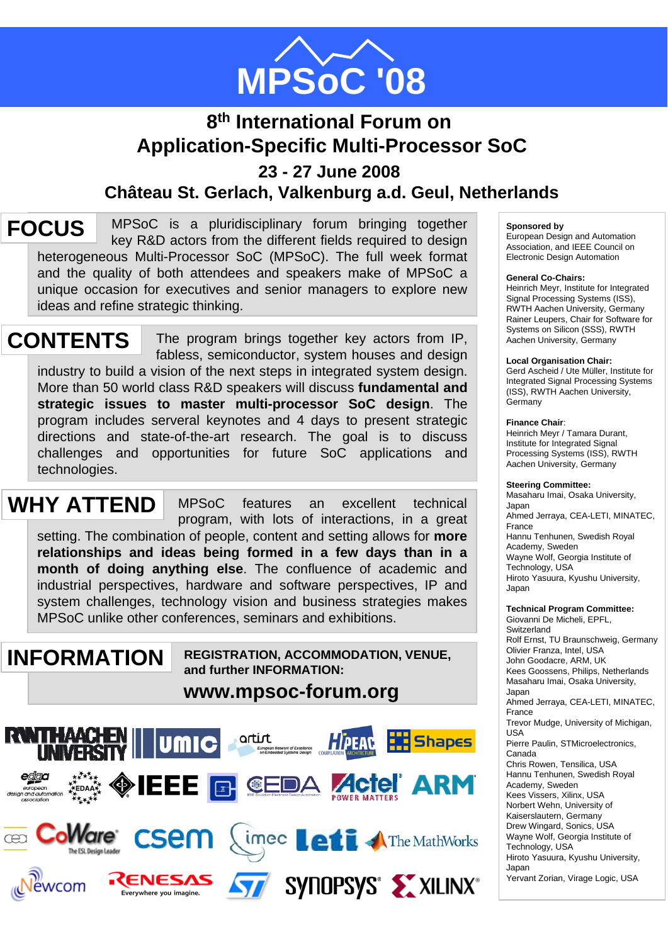

# **8th International Forum on Application-Specific Multi-Processor SoC 23 - 27 June 2008 Château St. Gerlach, Valkenburg a.d. Geul, Netherlands**

MPSoC is a pluridisciplinary forum bringing together key R&D actors from the different fields required to design heterogeneous Multi-Processor SoC (MPSoC). The full week format and the quality of both attendees and speakers make of MPSoC a unique occasion for executives and senior managers to explore new ideas and refine strategic thinking. **FOCUS**

The program brings together key actors from IP, fabless, semiconductor, system houses and design industry to build a vision of the next steps in integrated system design. More than 50 world class R&D speakers will discuss **fundamental and strategic issues to master multi-processor SoC design**. The program includes serveral keynotes and 4 days to present strategic directions and state-of-the-art research. The goal is to discuss challenges and opportunities for future SoC applications and technologies. **CONTENTS** 

MPSoC features an excellent technical program, with lots of interactions, in a great setting. The combination of people, content and setting allows for **more relationships and ideas being formed in a few days than in a month of doing anything else**. The confluence of academic and industrial perspectives, hardware and software perspectives, IP and system challenges, technology vision and business strategies makes MPSoC unlike other conferences, seminars and exhibitions. **WHY ATTEND**

**INFORMATION** 

**REGISTRATION, ACCOMMODATION, VENUE, and further INFORMATION:**

**www.mpsoc-forum.org**



### **Sponsored by**

European Design and Automation Association, and IEEE Council on Electronic Design Automation

#### **General Co-Chairs:**

Heinrich Meyr, Institute for Integrated Signal Processing Systems (ISS), RWTH Aachen University, Germany Rainer Leupers, Chair for Software for Systems on Silicon (SSS), RWTH Aachen University, Germany

#### **Local Organisation Chair:**

Gerd Ascheid / Ute Müller, Institute for Integrated Signal Processing Systems (ISS), RWTH Aachen University, **Germany** 

#### **Finance Chair**:

Heinrich Meyr / Tamara Durant, Institute for Integrated Signal Processing Systems (ISS), RWTH Aachen University, Germany

#### **Steering Committee:**

Masaharu Imai, Osaka University, Japan Ahmed Jerraya, CEA-LETI, MINATEC, France Hannu Tenhunen, Swedish Royal Academy, Sweden Wayne Wolf, Georgia Institute of Technology, USA Hiroto Yasuura, Kyushu University, Japan

#### **Technical Program Committee:** Giovanni De Micheli, EPFL,

**Switzerland** Rolf Ernst, TU Braunschweig, Germany Olivier Franza, Intel, USA John Goodacre, ARM, UK Kees Goossens, Philips, Netherlands Masaharu Imai, Osaka University, Japan Ahmed Jerraya, CEA-LETI, MINATEC, France Trevor Mudge, University of Michigan, USA Pierre Paulin, STMicroelectronics, Canada Chris Rowen, Tensilica, USA Hannu Tenhunen, Swedish Royal Academy, Sweden Kees Vissers, Xilinx, USA Norbert Wehn, University of Kaiserslautern, Germany Drew Wingard, Sonics, USA Wayne Wolf, Georgia Institute of Technology, USA Hiroto Yasuura, Kyushu University, Japan Yervant Zorian, Virage Logic, USA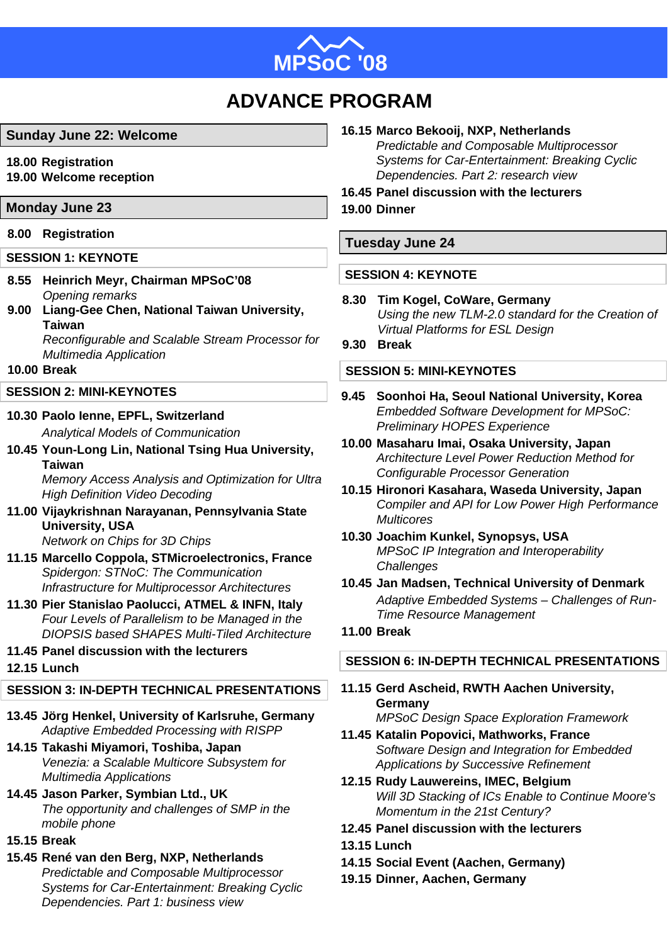

# **ADVANCE PROGRAM**

# **Sunday June 22: Welcome**

- **18.00 Registration**
- **19.00 Welcome reception**

# **Monday June 23 19.00 Dinner**

# **8.00 Registration**

# **SESSION 1: KEYNOTE**

- **8.55 Heinrich Meyr, Chairman MPSoC'08** *Opening remarks*
- **9.00 Liang-Gee Chen, National Taiwan University, Taiwan**  *Reconfigurable and Scalable Stream Processor for*

*Multimedia Application*

# **10.00 Break**

# **SESSION 2: MINI-KEYNOTES**

- **10.30 Paolo Ienne, EPFL, Switzerland** *Analytical Models of Communication*
- **10.45 Youn-Long Lin, National Tsing Hua University, Taiwan** *Memory Access Analysis and Optimization for Ultra*

*High Definition Video Decoding* 

- **11.00 Vijaykrishnan Narayanan, Pennsylvania State University, USA** *Network on Chips for 3D Chips*
- **11.15 Marcello Coppola, STMicroelectronics, France** *Spidergon: STNoC: The Communication Infrastructure for Multiprocessor Architectures*
- **11.30 Pier Stanislao Paolucci, ATMEL & INFN, Italy** *Four Levels of Parallelism to be Managed in the DIOPSIS based SHAPES Multi-Tiled Architecture*

# **11.45 Panel discussion with the lecturers**

# **12.15 Lunch**

# **SESSION 3: IN-DEPTH TECHNICAL PRESENTATIONS**

- **13.45 Jörg Henkel, University of Karlsruhe, Germany** *Adaptive Embedded Processing with RISPP*
- **14.15 Takashi Miyamori, Toshiba, Japan** *Venezia: a Scalable Multicore Subsystem for Multimedia Applications*
- **14.45 Jason Parker, Symbian Ltd., UK** *The opportunity and challenges of SMP in the mobile phone*
- **15.15 Break**
- **15.45 René van den Berg, NXP, Netherlands** *Predictable and Composable Multiprocessor Systems for Car-Entertainment: Breaking Cyclic Dependencies. Part 1: business view*

# **16.15 Marco Bekooij, NXP, Netherlands**

*Predictable and Composable Multiprocessor Systems for Car-Entertainment: Breaking Cyclic Dependencies. Part 2: research view* 

# **16.45 Panel discussion with the lecturers**

# **Tuesday June 24**

# **SESSION 4: KEYNOTE**

- **8.30 Tim Kogel, CoWare, Germany** *Using the new TLM-2.0 standard for the Creation of Virtual Platforms for ESL Design*
- **9.30 Break**

# **SESSION 5: MINI-KEYNOTES**

- **9.45 Soonhoi Ha, Seoul National University, Korea** *Embedded Software Development for MPSoC: Preliminary HOPES Experience*
- **10.00 Masaharu Imai, Osaka University, Japan** *Architecture Level Power Reduction Method for Configurable Processor Generation*
- **10.15 Hironori Kasahara, Waseda University, Japan**  *Compiler and API for Low Power High Performance Multicores*
- **10.30 Joachim Kunkel, Synopsys, USA** *MPSoC IP Integration and Interoperability Challenges*
- **10.45 Jan Madsen, Technical University of Denmark** *Adaptive Embedded Systems – Challenges of Run-Time Resource Management*

# **11.00 Break**

# **SESSION 6: IN-DEPTH TECHNICAL PRESENTATIONS**

- **11.15 Gerd Ascheid, RWTH Aachen University, Germany** *MPSoC Design Space Exploration Framework*
- **11.45 Katalin Popovici, Mathworks, France** *Software Design and Integration for Embedded Applications by Successive Refinement*
- **12.15 Rudy Lauwereins, IMEC, Belgium** *Will 3D Stacking of ICs Enable to Continue Moore's Momentum in the 21st Century?*
- **12.45 Panel discussion with the lecturers**
- **13.15 Lunch**
- **14.15 Social Event (Aachen, Germany)**
- **19.15 Dinner, Aachen, Germany**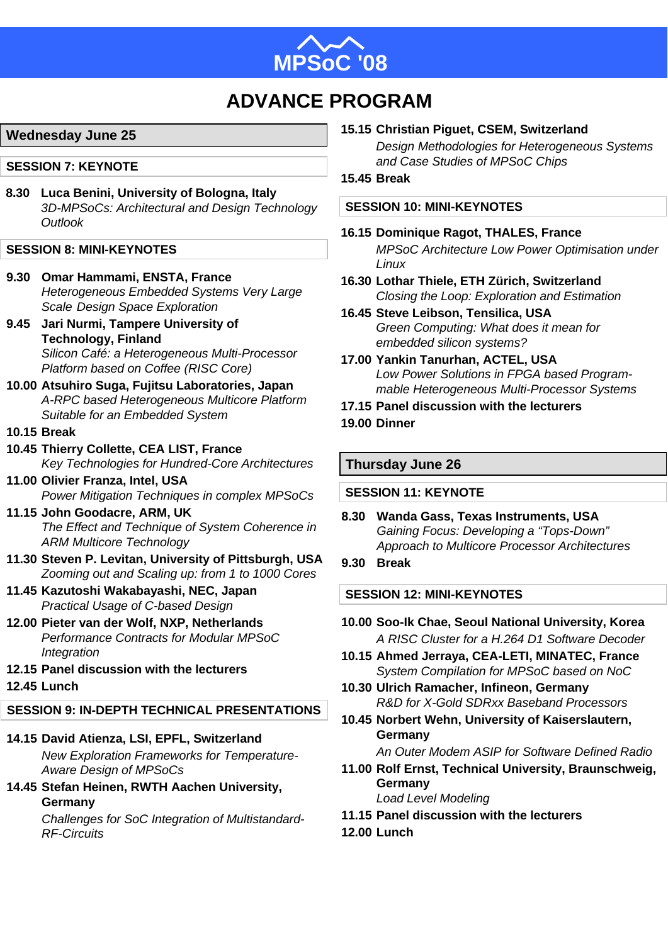

# **ADVANCE PROGRAM**

# **Wednesday June 25**

# **SESSION 7: KEYNOTE**

**8.30 Luca Benini, University of Bologna, Italy** *3D-MPSoCs: Architectural and Design Technology Outlook*

# **SESSION 8: MINI-KEYNOTES**

- **9.30 Omar Hammami, ENSTA, France** *Heterogeneous Embedded Systems Very Large Scale Design Space Exploration*
- **9.45 Jari Nurmi, Tampere University of Technology, Finland** *Silicon Café: a Heterogeneous Multi-Processor Platform based on Coffee (RISC Core)*
- **10.00 Atsuhiro Suga, Fujitsu Laboratories, Japan** *A-RPC based Heterogeneous Multicore Platform Suitable for an Embedded System*
- **10.15 Break**
- **10.45 Thierry Collette, CEA LIST, France** *Key Technologies for Hundred-Core Architectures*
- **11.00 Olivier Franza, Intel, USA** *Power Mitigation Techniques in complex MPSoCs*
- **11.15 John Goodacre, ARM, UK** *The Effect and Technique of System Coherence in ARM Multicore Technology*
- **11.30 Steven P. Levitan, University of Pittsburgh, USA** *Zooming out and Scaling up: from 1 to 1000 Cores*
- **11.45 Kazutoshi Wakabayashi, NEC, Japan** *Practical Usage of C-based Design*
- **12.00 Pieter van der Wolf, NXP, Netherlands** *Performance Contracts for Modular MPSoC Integration*
- **12.15 Panel discussion with the lecturers**
- **12.45 Lunch**

# **SESSION 9: IN-DEPTH TECHNICAL PRESENTATIONS**

**14.15 David Atienza, LSI, EPFL, Switzerland**

*New Exploration Frameworks for Temperature-Aware Design of MPSoCs*

**14.45 Stefan Heinen, RWTH Aachen University, Germany**

*Challenges for SoC Integration of Multistandard-RF-Circuits*

# **15.15 Christian Piguet, CSEM, Switzerland**

*Design Methodologies for Heterogeneous Systems and Case Studies of MPSoC Chips*

**15.45 Break**

# **SESSION 10: MINI-KEYNOTES**

- **16.15 Dominique Ragot, THALES, France** *MPSoC Architecture Low Power Optimisation under Linux*
- **16.30 Lothar Thiele, ETH Zürich, Switzerland** *Closing the Loop: Exploration and Estimation*
- **16.45 Steve Leibson, Tensilica, USA** *Green Computing: What does it mean for embedded silicon systems?*
- **17.00 Yankin Tanurhan, ACTEL, USA** *Low Power Solutions in FPGA based Programmable Heterogeneous Multi-Processor Systems*
- **17.15 Panel discussion with the lecturers 19.00 Dinner**

# **Thursday June 26**

### **SESSION 11: KEYNOTE**

- **8.30 Wanda Gass, Texas Instruments, USA** *Gaining Focus: Developing a "Tops-Down" Approach to Multicore Processor Architectures*
- **9.30 Break**

# **SESSION 12: MINI-KEYNOTES**

- **10.00 Soo-Ik Chae, Seoul National University, Korea** *A RISC Cluster for a H.264 D1 Software Decoder*
- **10.15 Ahmed Jerraya, CEA-LETI, MINATEC, France** *System Compilation for MPSoC based on NoC*
- **10.30 Ulrich Ramacher, Infineon, Germany** *R&D for X-Gold SDRxx Baseband Processors*
- **10.45 Norbert Wehn, University of Kaiserslautern, Germany**

*An Outer Modem ASIP for Software Defined Radio*

- **11.00 Rolf Ernst, Technical University, Braunschweig, Germany** *Load Level Modeling*
- **11.15 Panel discussion with the lecturers**
- **12.00 Lunch**